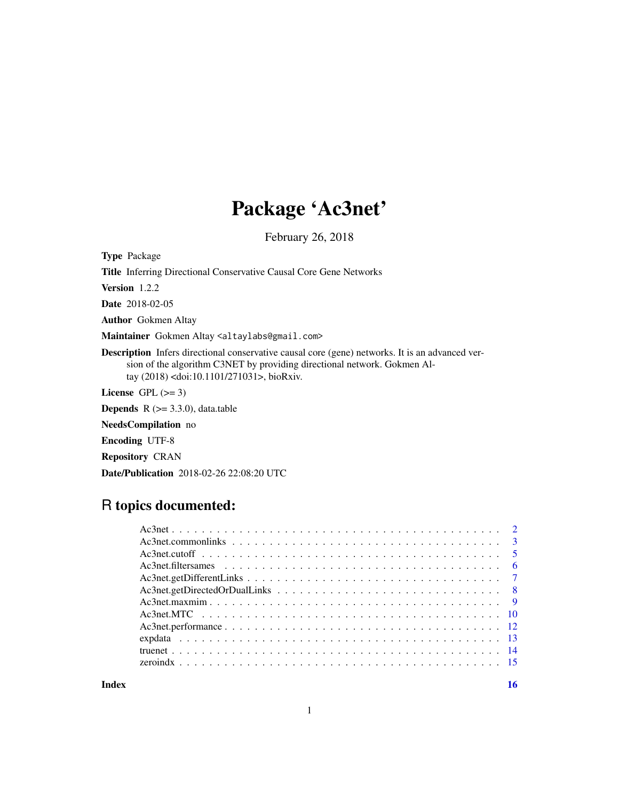# Package 'Ac3net'

February 26, 2018

Type Package Title Inferring Directional Conservative Causal Core Gene Networks Version 1.2.2 Date 2018-02-05 Author Gokmen Altay Maintainer Gokmen Altay <altaylabs@gmail.com> Description Infers directional conservative causal core (gene) networks. It is an advanced version of the algorithm C3NET by providing directional network. Gokmen Altay (2018) <doi:10.1101/271031>, bioRxiv. License GPL  $(>= 3)$ **Depends**  $R$  ( $> = 3.3.0$ ), data.table NeedsCompilation no Encoding UTF-8 Repository CRAN Date/Publication 2018-02-26 22:08:20 UTC

# R topics documented:

**Index** the contract of the contract of the contract of the contract of the contract of the contract of the contract of the contract of the contract of the contract of the contract of the contract of the contract of the co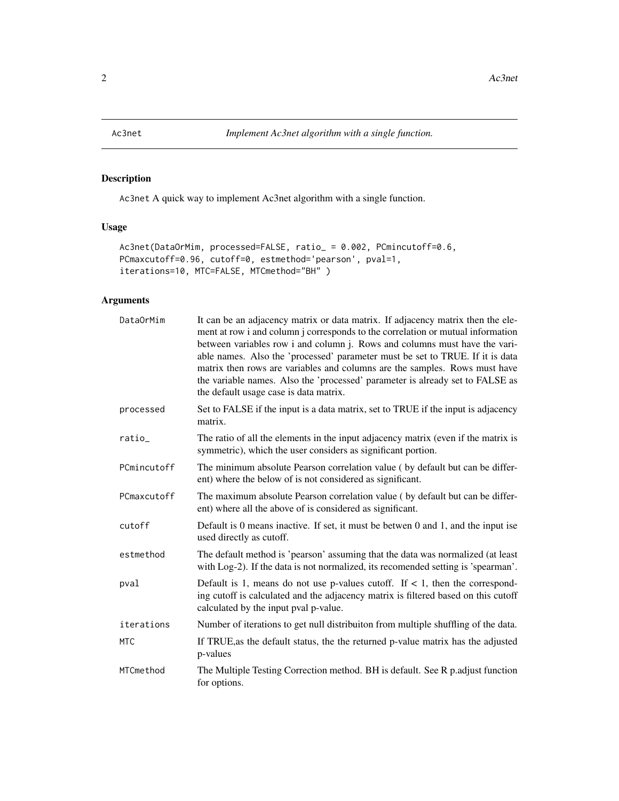<span id="page-1-0"></span>

# Description

Ac3net A quick way to implement Ac3net algorithm with a single function.

# Usage

```
Ac3net(DataOrMim, processed=FALSE, ratio_ = 0.002, PCmincutoff=0.6,
PCmaxcutoff=0.96, cutoff=0, estmethod='pearson', pval=1,
iterations=10, MTC=FALSE, MTCmethod="BH" )
```
# Arguments

| DataOrMim   | It can be an adjacency matrix or data matrix. If adjacency matrix then the ele-<br>ment at row i and column j corresponds to the correlation or mutual information<br>between variables row i and column j. Rows and columns must have the vari-<br>able names. Also the 'processed' parameter must be set to TRUE. If it is data<br>matrix then rows are variables and columns are the samples. Rows must have<br>the variable names. Also the 'processed' parameter is already set to FALSE as<br>the default usage case is data matrix. |
|-------------|--------------------------------------------------------------------------------------------------------------------------------------------------------------------------------------------------------------------------------------------------------------------------------------------------------------------------------------------------------------------------------------------------------------------------------------------------------------------------------------------------------------------------------------------|
| processed   | Set to FALSE if the input is a data matrix, set to TRUE if the input is adjacency<br>matrix.                                                                                                                                                                                                                                                                                                                                                                                                                                               |
| ratio_      | The ratio of all the elements in the input adjacency matrix (even if the matrix is<br>symmetric), which the user considers as significant portion.                                                                                                                                                                                                                                                                                                                                                                                         |
| PCmincutoff | The minimum absolute Pearson correlation value (by default but can be differ-<br>ent) where the below of is not considered as significant.                                                                                                                                                                                                                                                                                                                                                                                                 |
| PCmaxcutoff | The maximum absolute Pearson correlation value (by default but can be differ-<br>ent) where all the above of is considered as significant.                                                                                                                                                                                                                                                                                                                                                                                                 |
| cutoff      | Default is 0 means inactive. If set, it must be betwen $0$ and $1$ , and the input ise<br>used directly as cutoff.                                                                                                                                                                                                                                                                                                                                                                                                                         |
| estmethod   | The default method is 'pearson' assuming that the data was normalized (at least<br>with Log-2). If the data is not normalized, its recomended setting is 'spearman'.                                                                                                                                                                                                                                                                                                                                                                       |
| pval        | Default is 1, means do not use p-values cutoff. If $\lt 1$ , then the correspond-<br>ing cutoff is calculated and the adjacency matrix is filtered based on this cutoff<br>calculated by the input pval p-value.                                                                                                                                                                                                                                                                                                                           |
| iterations  | Number of iterations to get null distribuiton from multiple shuffling of the data.                                                                                                                                                                                                                                                                                                                                                                                                                                                         |
| <b>MTC</b>  | If TRUE, as the default status, the the returned p-value matrix has the adjusted<br>p-values                                                                                                                                                                                                                                                                                                                                                                                                                                               |
| MTCmethod   | The Multiple Testing Correction method. BH is default. See R p. adjust function<br>for options.                                                                                                                                                                                                                                                                                                                                                                                                                                            |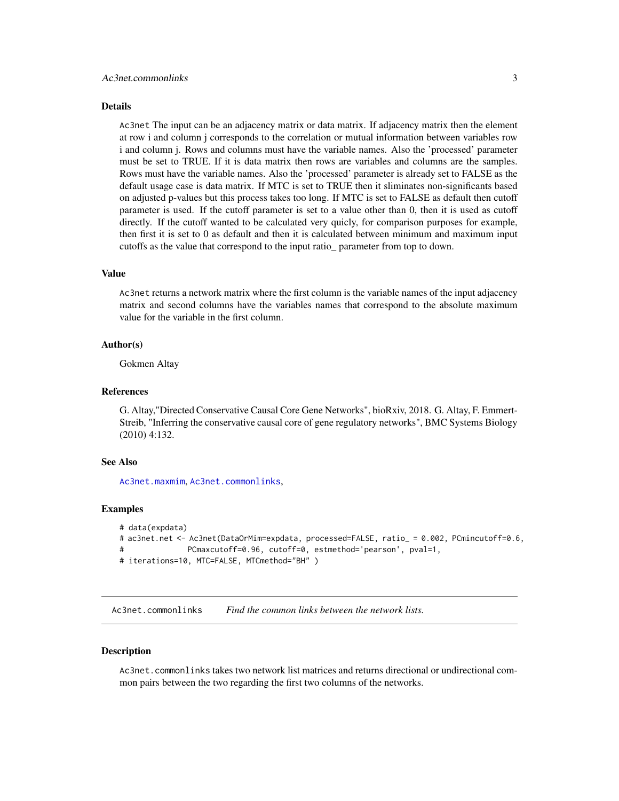#### <span id="page-2-0"></span>Details

Ac3net The input can be an adjacency matrix or data matrix. If adjacency matrix then the element at row i and column j corresponds to the correlation or mutual information between variables row i and column j. Rows and columns must have the variable names. Also the 'processed' parameter must be set to TRUE. If it is data matrix then rows are variables and columns are the samples. Rows must have the variable names. Also the 'processed' parameter is already set to FALSE as the default usage case is data matrix. If MTC is set to TRUE then it sliminates non-significants based on adjusted p-values but this process takes too long. If MTC is set to FALSE as default then cutoff parameter is used. If the cutoff parameter is set to a value other than 0, then it is used as cutoff directly. If the cutoff wanted to be calculated very quicly, for comparison purposes for example, then first it is set to 0 as default and then it is calculated between minimum and maximum input cutoffs as the value that correspond to the input ratio\_ parameter from top to down.

# Value

Ac3net returns a network matrix where the first column is the variable names of the input adjacency matrix and second columns have the variables names that correspond to the absolute maximum value for the variable in the first column.

# Author(s)

Gokmen Altay

# References

G. Altay,"Directed Conservative Causal Core Gene Networks", bioRxiv, 2018. G. Altay, F. Emmert-Streib, "Inferring the conservative causal core of gene regulatory networks", BMC Systems Biology (2010) 4:132.

# See Also

[Ac3net.maxmim](#page-8-1), [Ac3net.commonlinks](#page-2-1),

#### Examples

```
# data(expdata)
# ac3net.net <- Ac3net(DataOrMim=expdata, processed=FALSE, ratio_ = 0.002, PCmincutoff=0.6,
# PCmaxcutoff=0.96, cutoff=0, estmethod='pearson', pval=1,
# iterations=10, MTC=FALSE, MTCmethod="BH" )
```
<span id="page-2-1"></span>Ac3net.commonlinks *Find the common links between the network lists.*

# Description

Ac3net.commonlinks takes two network list matrices and returns directional or undirectional common pairs between the two regarding the first two columns of the networks.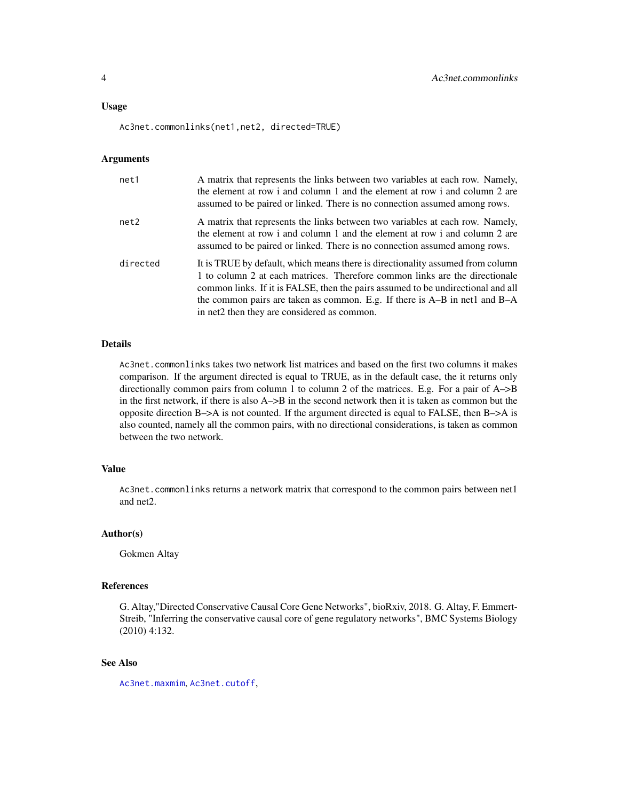#### <span id="page-3-0"></span>Usage

Ac3net.commonlinks(net1,net2, directed=TRUE)

#### Arguments

| net1     | A matrix that represents the links between two variables at each row. Namely,<br>the element at row i and column 1 and the element at row i and column 2 are<br>assumed to be paired or linked. There is no connection assumed among rows.                                                                                                                                         |
|----------|------------------------------------------------------------------------------------------------------------------------------------------------------------------------------------------------------------------------------------------------------------------------------------------------------------------------------------------------------------------------------------|
| net2     | A matrix that represents the links between two variables at each row. Namely,<br>the element at row i and column 1 and the element at row i and column 2 are<br>assumed to be paired or linked. There is no connection assumed among rows.                                                                                                                                         |
| directed | It is TRUE by default, which means there is directionality assumed from column<br>1 to column 2 at each matrices. Therefore common links are the directionale<br>common links. If it is FALSE, then the pairs assumed to be undirectional and all<br>the common pairs are taken as common. E.g. If there is $A-B$ in net1 and $B-A$<br>in net2 then they are considered as common. |

# Details

Ac3net.commonlinks takes two network list matrices and based on the first two columns it makes comparison. If the argument directed is equal to TRUE, as in the default case, the it returns only directionally common pairs from column 1 to column 2 of the matrices. E.g. For a pair of A->B in the first network, if there is also A–>B in the second network then it is taken as common but the opposite direction  $B\rightarrow A$  is not counted. If the argument directed is equal to FALSE, then  $B\rightarrow A$  is also counted, namely all the common pairs, with no directional considerations, is taken as common between the two network.

# Value

Ac3net.commonlinks returns a network matrix that correspond to the common pairs between net1 and net2.

# Author(s)

Gokmen Altay

# References

G. Altay,"Directed Conservative Causal Core Gene Networks", bioRxiv, 2018. G. Altay, F. Emmert-Streib, "Inferring the conservative causal core of gene regulatory networks", BMC Systems Biology (2010) 4:132.

# See Also

[Ac3net.maxmim](#page-8-1), [Ac3net.cutoff](#page-4-1),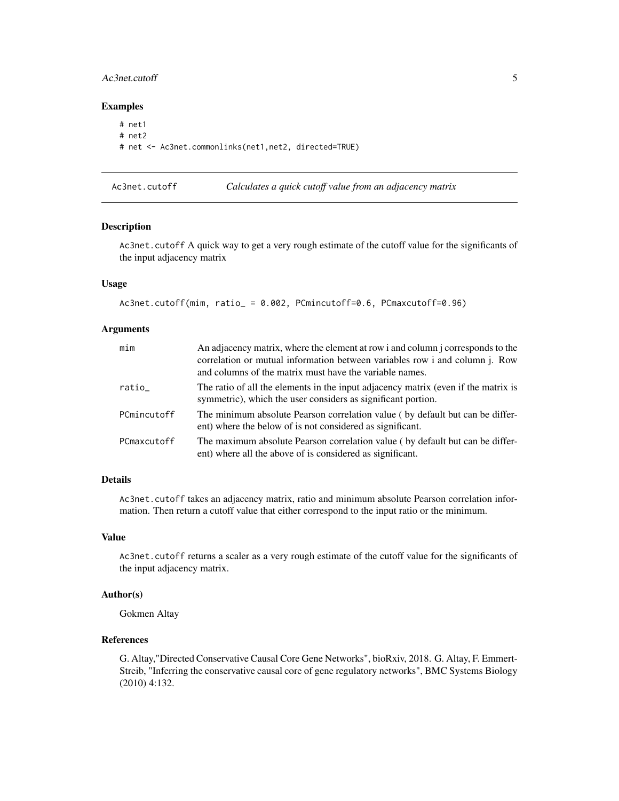# <span id="page-4-0"></span>Ac3net.cutoff 5

# Examples

```
# net1
# net2
# net <- Ac3net.commonlinks(net1,net2, directed=TRUE)
```
<span id="page-4-1"></span>Ac3net.cutoff *Calculates a quick cutoff value from an adjacency matrix*

#### Description

Ac3net.cutoff A quick way to get a very rough estimate of the cutoff value for the significants of the input adjacency matrix

# Usage

```
Ac3net.cutoff(mim, ratio_ = 0.002, PCmincutoff=0.6, PCmaxcutoff=0.96)
```
# Arguments

| min         | An adjacency matrix, where the element at row i and column j corresponds to the<br>correlation or mutual information between variables row i and column j. Row<br>and columns of the matrix must have the variable names. |
|-------------|---------------------------------------------------------------------------------------------------------------------------------------------------------------------------------------------------------------------------|
| ratio       | The ratio of all the elements in the input adjacency matrix (even if the matrix is<br>symmetric), which the user considers as significant portion.                                                                        |
| PCmincutoff | The minimum absolute Pearson correlation value (by default but can be differ-<br>ent) where the below of is not considered as significant.                                                                                |
| PCmaxcutoff | The maximum absolute Pearson correlation value (by default but can be differ-<br>ent) where all the above of is considered as significant.                                                                                |

# Details

Ac3net.cutoff takes an adjacency matrix, ratio and minimum absolute Pearson correlation information. Then return a cutoff value that either correspond to the input ratio or the minimum.

# Value

Ac3net.cutoff returns a scaler as a very rough estimate of the cutoff value for the significants of the input adjacency matrix.

# Author(s)

Gokmen Altay

# References

G. Altay,"Directed Conservative Causal Core Gene Networks", bioRxiv, 2018. G. Altay, F. Emmert-Streib, "Inferring the conservative causal core of gene regulatory networks", BMC Systems Biology (2010) 4:132.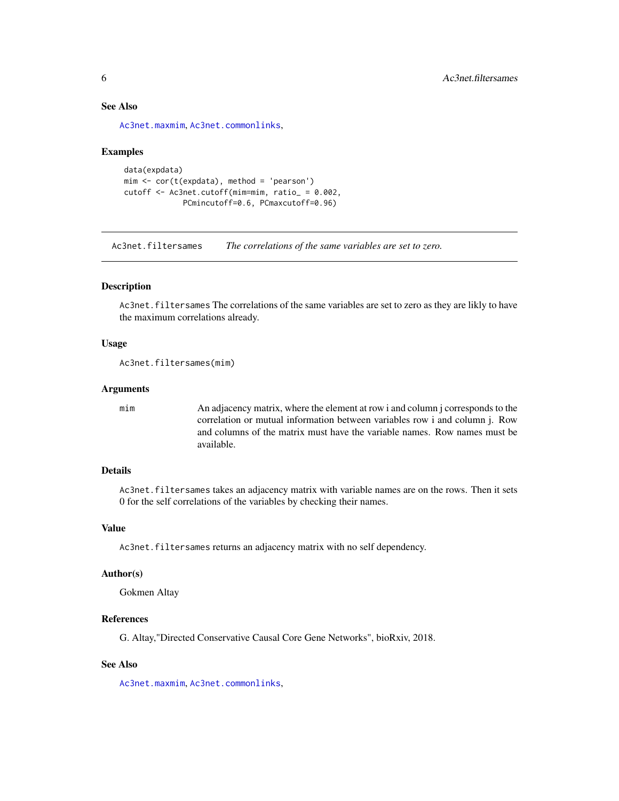# See Also

[Ac3net.maxmim](#page-8-1), [Ac3net.commonlinks](#page-2-1),

# Examples

```
data(expdata)
mim <- cor(t(expdata), method = 'pearson')
cutoff <- Ac3net.cutoff(mim=mim, ratio_ = 0.002,
             PCmincutoff=0.6, PCmaxcutoff=0.96)
```
Ac3net.filtersames *The correlations of the same variables are set to zero.*

# Description

Ac3net. filtersames The correlations of the same variables are set to zero as they are likly to have the maximum correlations already.

# Usage

```
Ac3net.filtersames(mim)
```
# Arguments

mim An adjacency matrix, where the element at row i and column j corresponds to the correlation or mutual information between variables row i and column j. Row and columns of the matrix must have the variable names. Row names must be available.

# Details

Ac3net.filtersames takes an adjacency matrix with variable names are on the rows. Then it sets 0 for the self correlations of the variables by checking their names.

# Value

Ac3net.filtersames returns an adjacency matrix with no self dependency.

#### Author(s)

Gokmen Altay

# References

G. Altay,"Directed Conservative Causal Core Gene Networks", bioRxiv, 2018.

# See Also

[Ac3net.maxmim](#page-8-1), [Ac3net.commonlinks](#page-2-1),

<span id="page-5-0"></span>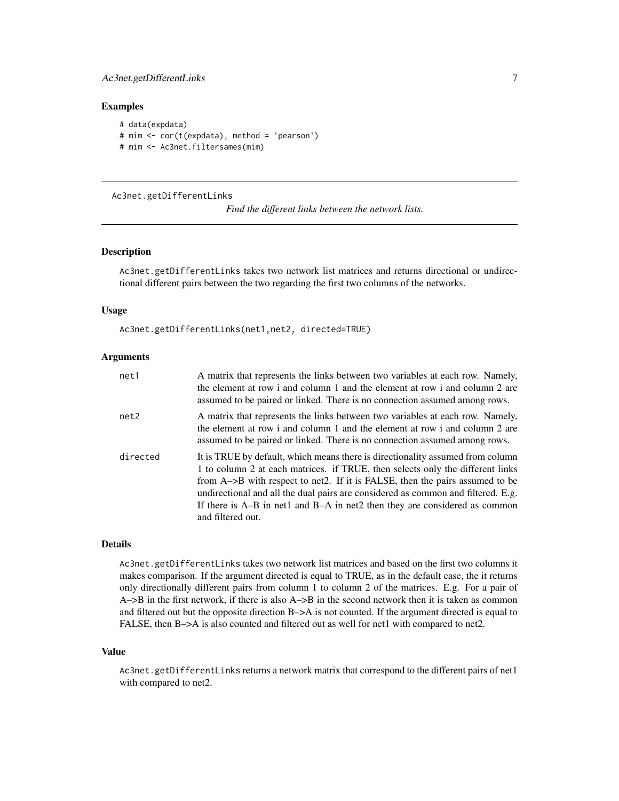# <span id="page-6-0"></span>Ac3net.getDifferentLinks 7

# Examples

```
# data(expdata)
# mim <- cor(t(expdata), method = 'pearson')
# mim <- Ac3net.filtersames(mim)
```
# Ac3net.getDifferentLinks

```
Find the different links between the network lists.
```
# Description

Ac3net.getDifferentLinks takes two network list matrices and returns directional or undirectional different pairs between the two regarding the first two columns of the networks.

#### Usage

Ac3net.getDifferentLinks(net1,net2, directed=TRUE)

# Arguments

| net1     | A matrix that represents the links between two variables at each row. Namely,<br>the element at row i and column 1 and the element at row i and column 2 are<br>assumed to be paired or linked. There is no connection assumed among rows.                                                                                                                                                                                              |
|----------|-----------------------------------------------------------------------------------------------------------------------------------------------------------------------------------------------------------------------------------------------------------------------------------------------------------------------------------------------------------------------------------------------------------------------------------------|
| net2     | A matrix that represents the links between two variables at each row. Namely,<br>the element at row i and column 1 and the element at row i and column 2 are<br>assumed to be paired or linked. There is no connection assumed among rows.                                                                                                                                                                                              |
| directed | It is TRUE by default, which means there is directionality assumed from column<br>1 to column 2 at each matrices. if TRUE, then selects only the different links<br>from A->B with respect to net2. If it is FALSE, then the pairs assumed to be<br>undirectional and all the dual pairs are considered as common and filtered. E.g.<br>If there is A–B in net1 and B–A in net2 then they are considered as common<br>and filtered out. |

# Details

Ac3net.getDifferentLinks takes two network list matrices and based on the first two columns it makes comparison. If the argument directed is equal to TRUE, as in the default case, the it returns only directionally different pairs from column 1 to column 2 of the matrices. E.g. For a pair of A–>B in the first network, if there is also A–>B in the second network then it is taken as common and filtered out but the opposite direction B->A is not counted. If the argument directed is equal to FALSE, then B->A is also counted and filtered out as well for net1 with compared to net2.

# Value

Ac3net.getDifferentLinks returns a network matrix that correspond to the different pairs of net1 with compared to net2.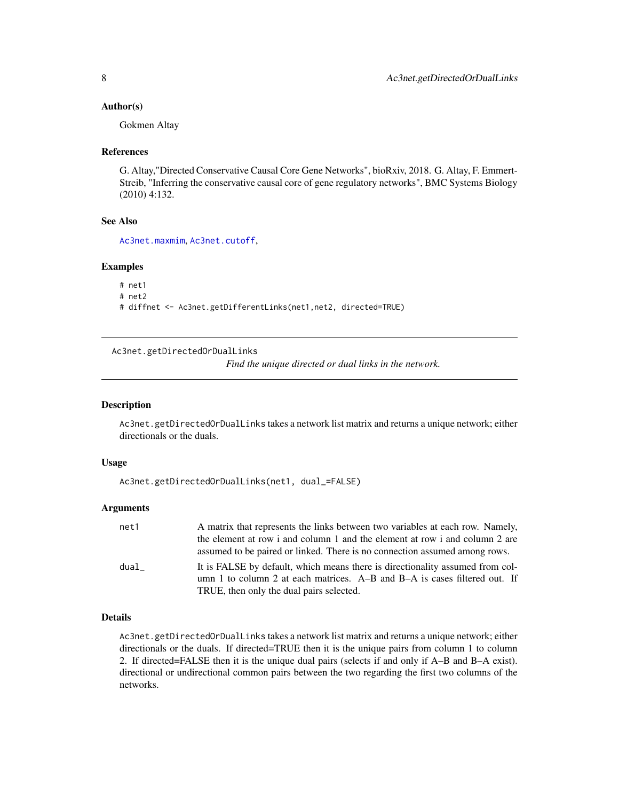# <span id="page-7-0"></span>Author(s)

Gokmen Altay

# References

G. Altay,"Directed Conservative Causal Core Gene Networks", bioRxiv, 2018. G. Altay, F. Emmert-Streib, "Inferring the conservative causal core of gene regulatory networks", BMC Systems Biology (2010) 4:132.

# See Also

[Ac3net.maxmim](#page-8-1), [Ac3net.cutoff](#page-4-1),

# Examples

# net1 # net2 # diffnet <- Ac3net.getDifferentLinks(net1,net2, directed=TRUE)

Ac3net.getDirectedOrDualLinks

*Find the unique directed or dual links in the network.*

#### Description

Ac3net.getDirectedOrDualLinks takes a network list matrix and returns a unique network; either directionals or the duals.

#### Usage

```
Ac3net.getDirectedOrDualLinks(net1, dual_=FALSE)
```
#### Arguments

| net1 | A matrix that represents the links between two variables at each row. Namely, |
|------|-------------------------------------------------------------------------------|
|      | the element at row i and column 1 and the element at row i and column 2 are   |
|      | assumed to be paired or linked. There is no connection assumed among rows.    |
| dual | It is FALSE by default, which means there is directionality assumed from col- |
|      | umn 1 to column 2 at each matrices. A–B and B–A is cases filtered out. If     |
|      | TRUE, then only the dual pairs selected.                                      |

# Details

Ac3net.getDirectedOrDualLinks takes a network list matrix and returns a unique network; either directionals or the duals. If directed=TRUE then it is the unique pairs from column 1 to column 2. If directed=FALSE then it is the unique dual pairs (selects if and only if A–B and B–A exist). directional or undirectional common pairs between the two regarding the first two columns of the networks.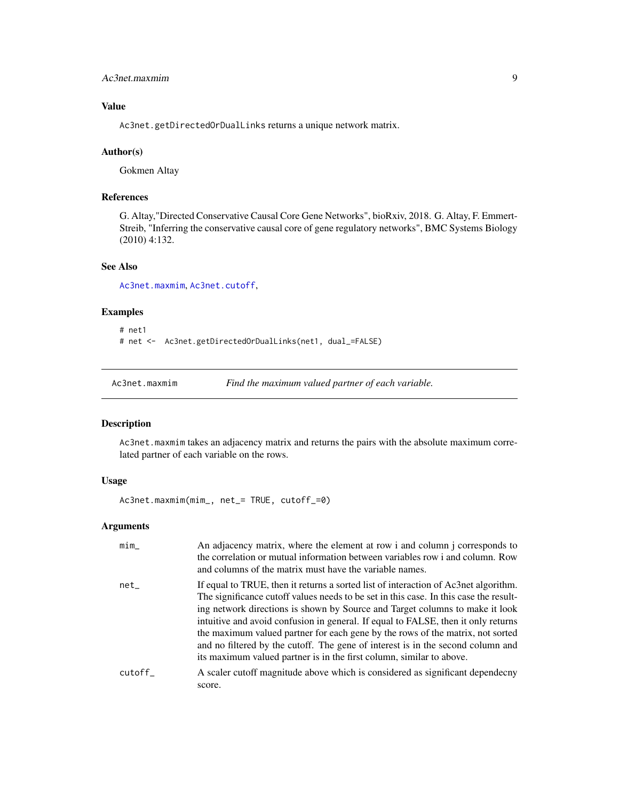# <span id="page-8-0"></span>Ac3net.maxmim 9

# Value

Ac3net.getDirectedOrDualLinks returns a unique network matrix.

#### Author(s)

Gokmen Altay

# References

G. Altay,"Directed Conservative Causal Core Gene Networks", bioRxiv, 2018. G. Altay, F. Emmert-Streib, "Inferring the conservative causal core of gene regulatory networks", BMC Systems Biology (2010) 4:132.

# See Also

[Ac3net.maxmim](#page-8-1), [Ac3net.cutoff](#page-4-1),

# Examples

```
# net1
# net <- Ac3net.getDirectedOrDualLinks(net1, dual_=FALSE)
```
<span id="page-8-1"></span>Ac3net.maxmim *Find the maximum valued partner of each variable.*

# Description

Ac3net.maxmim takes an adjacency matrix and returns the pairs with the absolute maximum correlated partner of each variable on the rows.

# Usage

Ac3net.maxmim(mim\_, net\_= TRUE, cutoff\_=0)

# Arguments

| min    | An adjacency matrix, where the element at row i and column j corresponds to<br>the correlation or mutual information between variables row i and column. Row<br>and columns of the matrix must have the variable names.                                                                                                                                                                                                                                                                                                                                                                        |
|--------|------------------------------------------------------------------------------------------------------------------------------------------------------------------------------------------------------------------------------------------------------------------------------------------------------------------------------------------------------------------------------------------------------------------------------------------------------------------------------------------------------------------------------------------------------------------------------------------------|
| net    | If equal to TRUE, then it returns a sorted list of interaction of Ac3net algorithm.<br>The significance cutoff values needs to be set in this case. In this case the result-<br>ing network directions is shown by Source and Target columns to make it look<br>intuitive and avoid confusion in general. If equal to FALSE, then it only returns<br>the maximum valued partner for each gene by the rows of the matrix, not sorted<br>and no filtered by the cutoff. The gene of interest is in the second column and<br>its maximum valued partner is in the first column, similar to above. |
| cutoff | A scaler cutoff magnitude above which is considered as significant dependecny<br>score.                                                                                                                                                                                                                                                                                                                                                                                                                                                                                                        |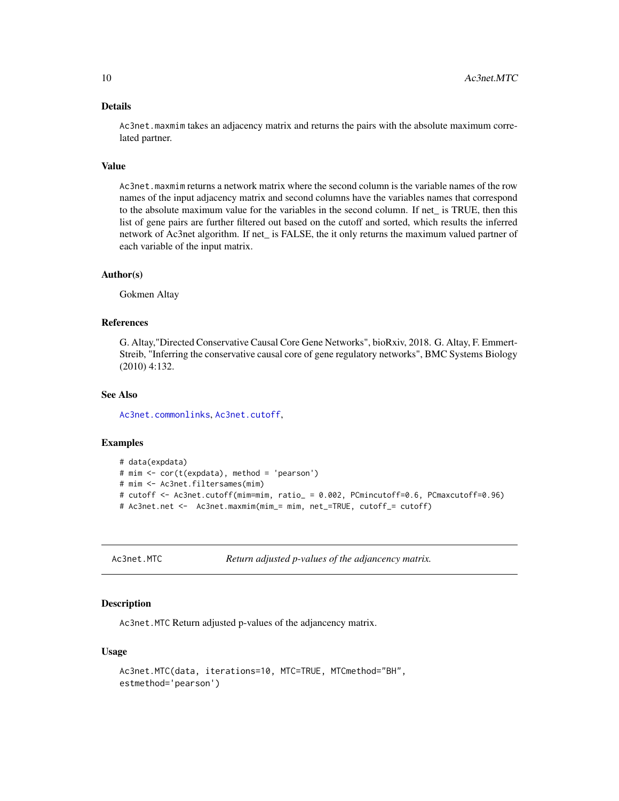#### Details

Ac3net.maxmim takes an adjacency matrix and returns the pairs with the absolute maximum correlated partner.

# Value

Ac3net.maxmim returns a network matrix where the second column is the variable names of the row names of the input adjacency matrix and second columns have the variables names that correspond to the absolute maximum value for the variables in the second column. If net\_ is TRUE, then this list of gene pairs are further filtered out based on the cutoff and sorted, which results the inferred network of Ac3net algorithm. If net\_ is FALSE, the it only returns the maximum valued partner of each variable of the input matrix.

#### Author(s)

Gokmen Altay

# References

G. Altay,"Directed Conservative Causal Core Gene Networks", bioRxiv, 2018. G. Altay, F. Emmert-Streib, "Inferring the conservative causal core of gene regulatory networks", BMC Systems Biology (2010) 4:132.

# See Also

[Ac3net.commonlinks](#page-2-1), [Ac3net.cutoff](#page-4-1),

#### Examples

```
# data(expdata)
# mim <- cor(t(expdata), method = 'pearson')
# mim <- Ac3net.filtersames(mim)
# cutoff <- Ac3net.cutoff(mim=mim, ratio_ = 0.002, PCmincutoff=0.6, PCmaxcutoff=0.96)
# Ac3net.net <- Ac3net.maxmim(mim_= mim, net_=TRUE, cutoff_= cutoff)
```

```
Ac3net.MTC Return adjusted p-values of the adjancency matrix.
```
#### **Description**

Ac3net.MTC Return adjusted p-values of the adjancency matrix.

# Usage

```
Ac3net.MTC(data, iterations=10, MTC=TRUE, MTCmethod="BH",
estmethod='pearson')
```
<span id="page-9-0"></span>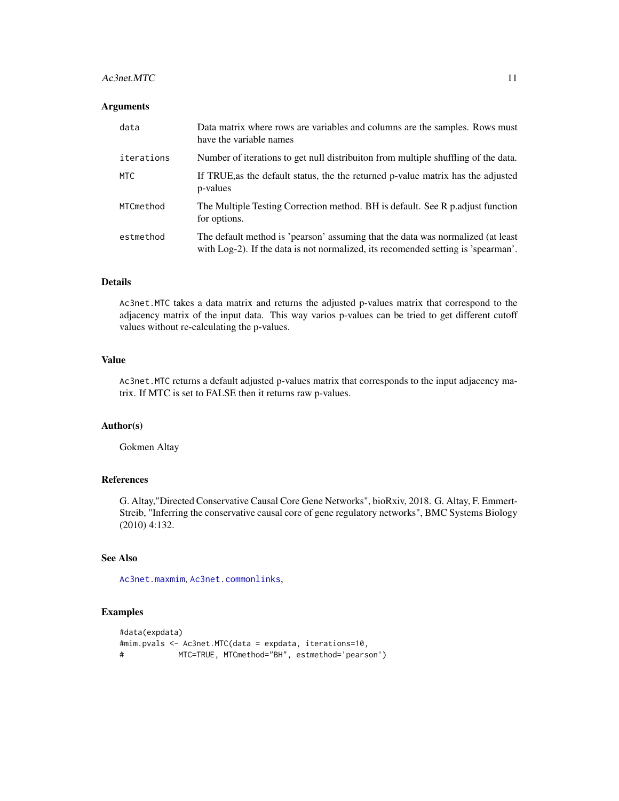#### <span id="page-10-0"></span> $Ac3net.MTC$  11

# Arguments

| data       | Data matrix where rows are variables and columns are the samples. Rows must<br>have the variable names                                                               |
|------------|----------------------------------------------------------------------------------------------------------------------------------------------------------------------|
| iterations | Number of iterations to get null distribuiton from multiple shuffling of the data.                                                                                   |
| <b>MTC</b> | If TRUE, as the default status, the the returned p-value matrix has the adjusted<br>p-values                                                                         |
| MTCmethod  | The Multiple Testing Correction method. BH is default. See R p. adjust function<br>for options.                                                                      |
| estmethod  | The default method is 'pearson' assuming that the data was normalized (at least<br>with Log-2). If the data is not normalized, its recomended setting is 'spearman'. |

# Details

Ac3net.MTC takes a data matrix and returns the adjusted p-values matrix that correspond to the adjacency matrix of the input data. This way varios p-values can be tried to get different cutoff values without re-calculating the p-values.

#### Value

Ac3net.MTC returns a default adjusted p-values matrix that corresponds to the input adjacency matrix. If MTC is set to FALSE then it returns raw p-values.

# Author(s)

Gokmen Altay

# References

G. Altay,"Directed Conservative Causal Core Gene Networks", bioRxiv, 2018. G. Altay, F. Emmert-Streib, "Inferring the conservative causal core of gene regulatory networks", BMC Systems Biology (2010) 4:132.

# See Also

[Ac3net.maxmim](#page-8-1), [Ac3net.commonlinks](#page-2-1),

# Examples

```
#data(expdata)
#mim.pvals <- Ac3net.MTC(data = expdata, iterations=10,
# MTC=TRUE, MTCmethod="BH", estmethod='pearson')
```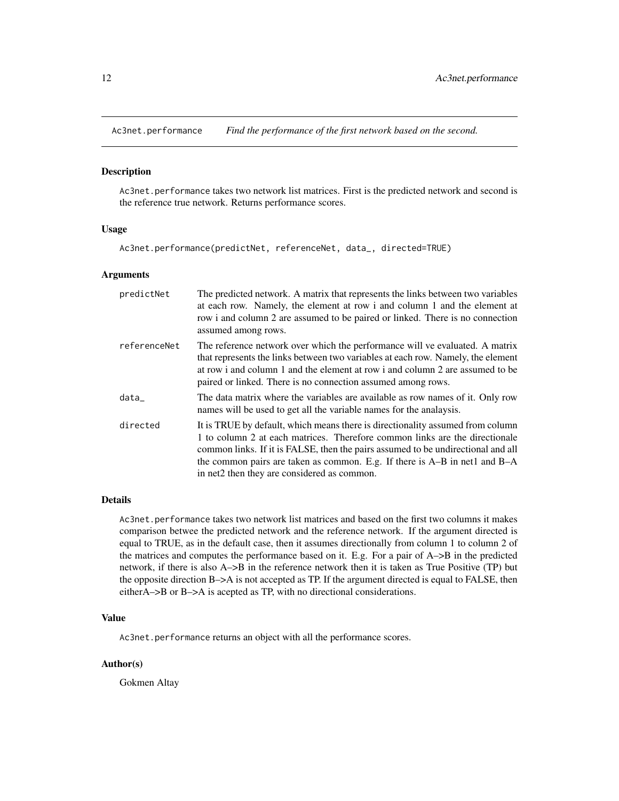<span id="page-11-0"></span>Ac3net.performance *Find the performance of the first network based on the second.*

# Description

Ac3net.performance takes two network list matrices. First is the predicted network and second is the reference true network. Returns performance scores.

#### Usage

Ac3net.performance(predictNet, referenceNet, data\_, directed=TRUE)

#### Arguments

| predictNet   | The predicted network. A matrix that represents the links between two variables<br>at each row. Namely, the element at row i and column 1 and the element at<br>row i and column 2 are assumed to be paired or linked. There is no connection<br>assumed among rows.                                                                                                               |
|--------------|------------------------------------------------------------------------------------------------------------------------------------------------------------------------------------------------------------------------------------------------------------------------------------------------------------------------------------------------------------------------------------|
| referenceNet | The reference network over which the performance will ve evaluated. A matrix<br>that represents the links between two variables at each row. Namely, the element<br>at row i and column 1 and the element at row i and column 2 are assumed to be<br>paired or linked. There is no connection assumed among rows.                                                                  |
| data         | The data matrix where the variables are available as row names of it. Only row<br>names will be used to get all the variable names for the analaysis.                                                                                                                                                                                                                              |
| directed     | It is TRUE by default, which means there is directionality assumed from column<br>1 to column 2 at each matrices. Therefore common links are the directionale<br>common links. If it is FALSE, then the pairs assumed to be undirectional and all<br>the common pairs are taken as common. E.g. If there is $A-B$ in net1 and $B-A$<br>in net2 then they are considered as common. |

# Details

Ac3net.performance takes two network list matrices and based on the first two columns it makes comparison betwee the predicted network and the reference network. If the argument directed is equal to TRUE, as in the default case, then it assumes directionally from column 1 to column 2 of the matrices and computes the performance based on it. E.g. For a pair of A–>B in the predicted network, if there is also A–>B in the reference network then it is taken as True Positive (TP) but the opposite direction B–>A is not accepted as TP. If the argument directed is equal to FALSE, then eitherA–>B or B–>A is acepted as TP, with no directional considerations.

# Value

Ac3net.performance returns an object with all the performance scores.

# Author(s)

Gokmen Altay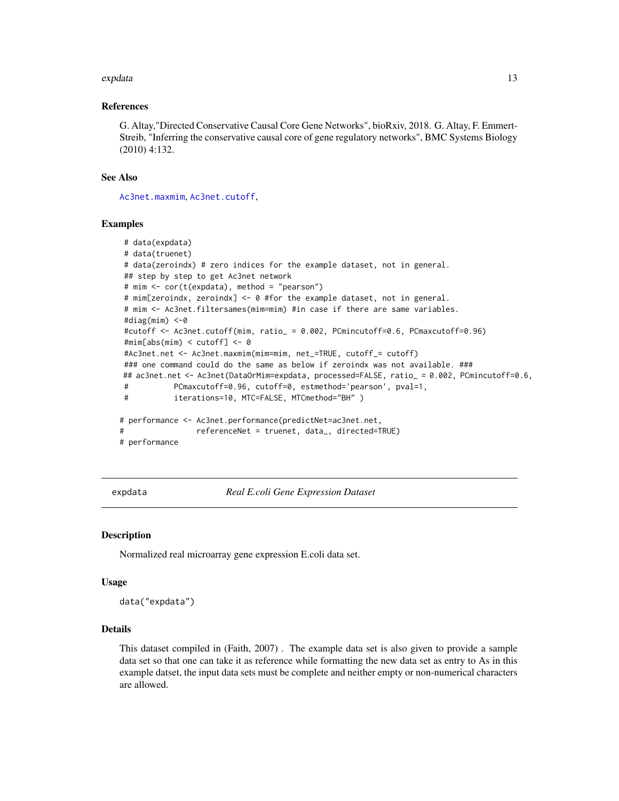#### <span id="page-12-0"></span>expdata and the set of the set of the set of the set of the set of the set of the set of the set of the set of the set of the set of the set of the set of the set of the set of the set of the set of the set of the set of t

# References

G. Altay,"Directed Conservative Causal Core Gene Networks", bioRxiv, 2018. G. Altay, F. Emmert-Streib, "Inferring the conservative causal core of gene regulatory networks", BMC Systems Biology (2010) 4:132.

# See Also

[Ac3net.maxmim](#page-8-1), [Ac3net.cutoff](#page-4-1),

#### Examples

```
# data(expdata)
# data(truenet)
# data(zeroindx) # zero indices for the example dataset, not in general.
## step by step to get Ac3net network
# mim <- cor(t(expdata), method = "pearson")
# mim[zeroindx, zeroindx] <- 0 #for the example dataset, not in general.
# mim <- Ac3net.filtersames(mim=mim) #in case if there are same variables.
#diag(mim) <-0
#cutoff <- Ac3net.cutoff(mim, ratio_ = 0.002, PCmincutoff=0.6, PCmaxcutoff=0.96)
#mim[abs(mim) < cutoff] <- 0
#Ac3net.net <- Ac3net.maxmim(mim=mim, net_=TRUE, cutoff_= cutoff)
### one command could do the same as below if zeroindx was not available. ###
## ac3net.net <- Ac3net(DataOrMim=expdata, processed=FALSE, ratio_ = 0.002, PCmincutoff=0.6,
# PCmaxcutoff=0.96, cutoff=0, estmethod='pearson', pval=1,
# iterations=10, MTC=FALSE, MTCmethod="BH" )
# performance <- Ac3net.performance(predictNet=ac3net.net,
# referenceNet = truenet, data_, directed=TRUE)
# performance
```
expdata *Real E.coli Gene Expression Dataset*

#### Description

Normalized real microarray gene expression E.coli data set.

#### Usage

data("expdata")

# Details

This dataset compiled in (Faith, 2007) . The example data set is also given to provide a sample data set so that one can take it as reference while formatting the new data set as entry to As in this example datset, the input data sets must be complete and neither empty or non-numerical characters are allowed.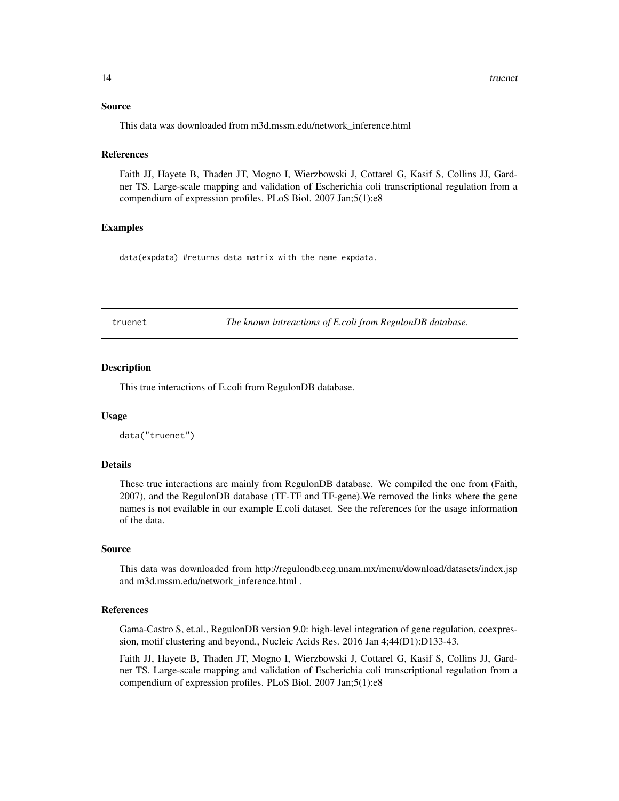# <span id="page-13-0"></span>Source

This data was downloaded from m3d.mssm.edu/network\_inference.html

# References

Faith JJ, Hayete B, Thaden JT, Mogno I, Wierzbowski J, Cottarel G, Kasif S, Collins JJ, Gardner TS. Large-scale mapping and validation of Escherichia coli transcriptional regulation from a compendium of expression profiles. PLoS Biol. 2007 Jan;5(1):e8

#### Examples

data(expdata) #returns data matrix with the name expdata.

truenet *The known intreactions of E.coli from RegulonDB database.*

# **Description**

This true interactions of E.coli from RegulonDB database.

# Usage

```
data("truenet")
```
# Details

These true interactions are mainly from RegulonDB database. We compiled the one from (Faith, 2007), and the RegulonDB database (TF-TF and TF-gene).We removed the links where the gene names is not evailable in our example E.coli dataset. See the references for the usage information of the data.

# Source

This data was downloaded from http://regulondb.ccg.unam.mx/menu/download/datasets/index.jsp and m3d.mssm.edu/network\_inference.html .

#### References

Gama-Castro S, et.al., RegulonDB version 9.0: high-level integration of gene regulation, coexpression, motif clustering and beyond., Nucleic Acids Res. 2016 Jan 4;44(D1):D133-43.

Faith JJ, Hayete B, Thaden JT, Mogno I, Wierzbowski J, Cottarel G, Kasif S, Collins JJ, Gardner TS. Large-scale mapping and validation of Escherichia coli transcriptional regulation from a compendium of expression profiles. PLoS Biol. 2007 Jan;5(1):e8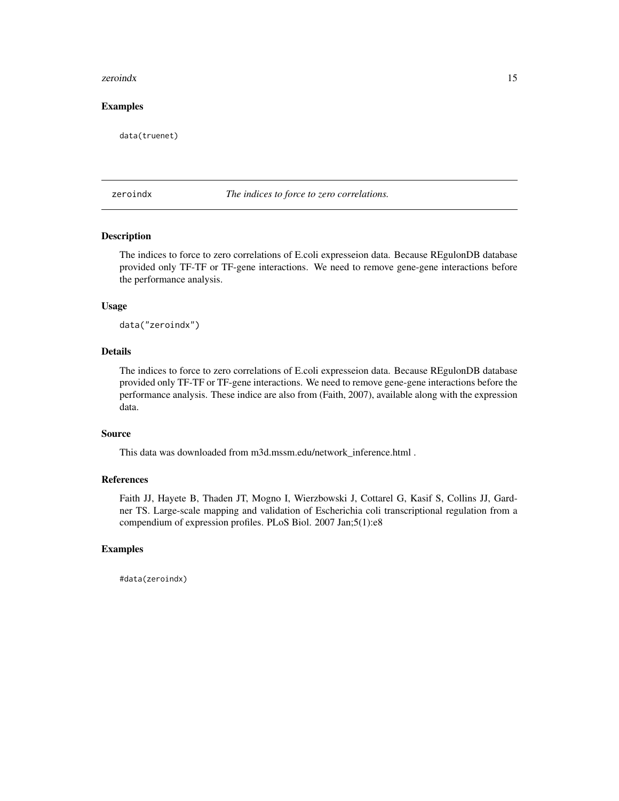#### <span id="page-14-0"></span>zeroindx 15

# Examples

data(truenet)

zeroindx *The indices to force to zero correlations.*

# Description

The indices to force to zero correlations of E.coli expresseion data. Because REgulonDB database provided only TF-TF or TF-gene interactions. We need to remove gene-gene interactions before the performance analysis.

# Usage

data("zeroindx")

# Details

The indices to force to zero correlations of E.coli expresseion data. Because REgulonDB database provided only TF-TF or TF-gene interactions. We need to remove gene-gene interactions before the performance analysis. These indice are also from (Faith, 2007), available along with the expression data.

# Source

This data was downloaded from m3d.mssm.edu/network\_inference.html .

# References

Faith JJ, Hayete B, Thaden JT, Mogno I, Wierzbowski J, Cottarel G, Kasif S, Collins JJ, Gardner TS. Large-scale mapping and validation of Escherichia coli transcriptional regulation from a compendium of expression profiles. PLoS Biol. 2007 Jan;5(1):e8

# Examples

#data(zeroindx)